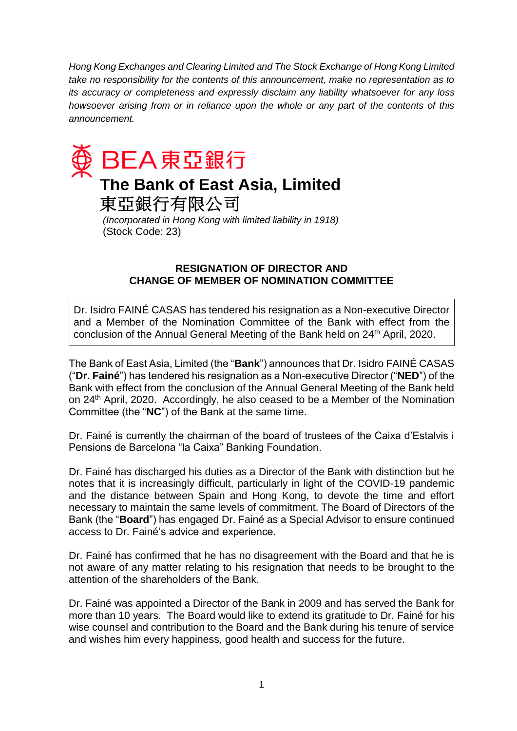*Hong Kong Exchanges and Clearing Limited and The Stock Exchange of Hong Kong Limited take no responsibility for the contents of this announcement, make no representation as to its accuracy or completeness and expressly disclaim any liability whatsoever for any loss howsoever arising from or in reliance upon the whole or any part of the contents of this announcement.*



## **The Bank of East Asia, Limited**

東亞銀行有限公司

*(Incorporated in Hong Kong with limited liability in 1918)* (Stock Code: 23)

## **RESIGNATION OF DIRECTOR AND CHANGE OF MEMBER OF NOMINATION COMMITTEE**

Dr. Isidro FAINÉ CASAS has tendered his resignation as a Non-executive Director and a Member of the Nomination Committee of the Bank with effect from the conclusion of the Annual General Meeting of the Bank held on 24<sup>th</sup> April, 2020.

The Bank of East Asia, Limited (the "**Bank**") announces that Dr. Isidro FAINÉ CASAS ("**Dr. Fainé**") has tendered his resignation as a Non-executive Director ("**NED**") of the Bank with effect from the conclusion of the Annual General Meeting of the Bank held on 24th April, 2020. Accordingly, he also ceased to be a Member of the Nomination Committee (the "**NC**") of the Bank at the same time.

Dr. Fainé is currently the chairman of the board of trustees of the Caixa d'Estalvis i Pensions de Barcelona "la Caixa" Banking Foundation.

Dr. Fainé has discharged his duties as a Director of the Bank with distinction but he notes that it is increasingly difficult, particularly in light of the COVID-19 pandemic and the distance between Spain and Hong Kong, to devote the time and effort necessary to maintain the same levels of commitment. The Board of Directors of the Bank (the "**Board**") has engaged Dr. Fainé as a Special Advisor to ensure continued access to Dr. Fainé's advice and experience.

Dr. Fainé has confirmed that he has no disagreement with the Board and that he is not aware of any matter relating to his resignation that needs to be brought to the attention of the shareholders of the Bank.

Dr. Fainé was appointed a Director of the Bank in 2009 and has served the Bank for more than 10 years. The Board would like to extend its gratitude to Dr. Fainé for his wise counsel and contribution to the Board and the Bank during his tenure of service and wishes him every happiness, good health and success for the future.